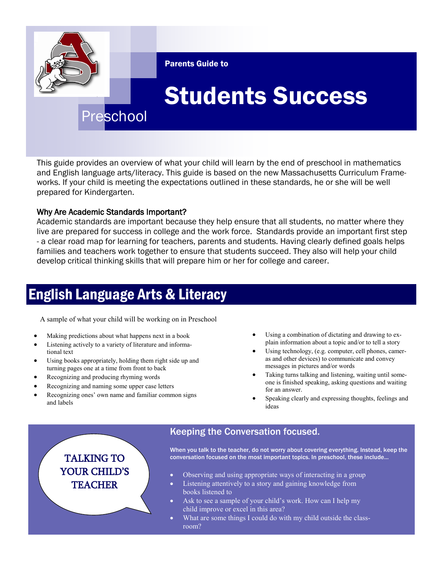

This guide provides an overview of what your child will learn by the end of preschool in mathematics and English language arts/literacy. This guide is based on the new Massachusetts Curriculum Frameworks. If your child is meeting the expectations outlined in these standards, he or she will be well prepared for Kindergarten.

#### Why Are Academic Standards Important?

Academic standards are important because they help ensure that all students, no matter where they live are prepared for success in college and the work force. Standards provide an important first step - a clear road map for learning for teachers, parents and students. Having clearly defined goals helps families and teachers work together to ensure that students succeed. They also will help your child develop critical thinking skills that will prepare him or her for college and career.

## English Language Arts & Literacy

A sample of what your child will be working on in Preschool

- Making predictions about what happens next in a book
- Listening actively to a variety of literature and informational text
- Using books appropriately, holding them right side up and turning pages one at a time from front to back
- Recognizing and producing rhyming words
- Recognizing and naming some upper case letters
- Recognizing ones' own name and familiar common signs and labels
- Using a combination of dictating and drawing to explain information about a topic and/or to tell a story
- Using technology, (e.g. computer, cell phones, cameras and other devices) to communicate and convey messages in pictures and/or words
- Taking turns talking and listening, waiting until someone is finished speaking, asking questions and waiting for an answer.
- Speaking clearly and expressing thoughts, feelings and ideas

## Keeping the Conversation focused.

When you talk to the teacher, do not worry about covering everything. Instead, keep the TALKING TO conversation focused on the most important topics. In preschool, these include...

YOUR CHILD'S **TEACHER** 

- Observing and using appropriate ways of interacting in a group
- Listening attentively to a story and gaining knowledge from books listened to
- Ask to see a sample of your child's work. How can I help my child improve or excel in this area?
- What are some things I could do with my child outside the classroom?